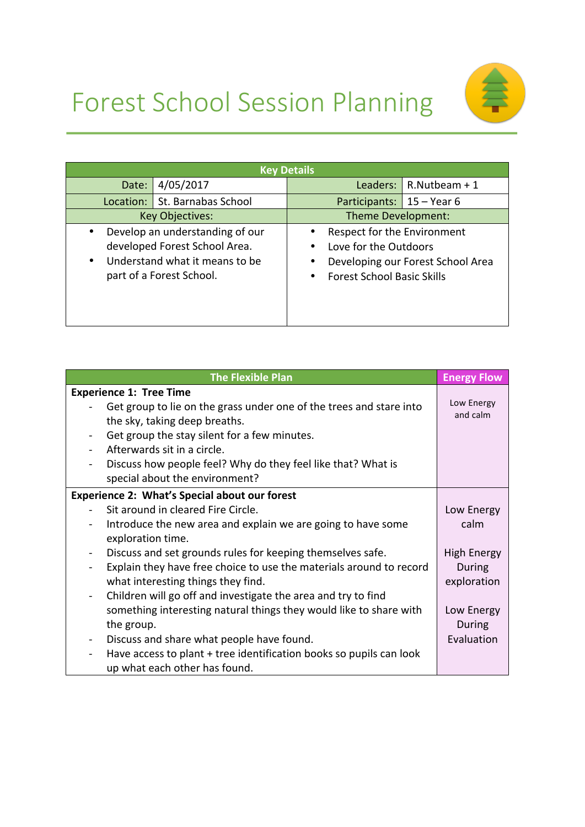



| <b>Key Details</b>                                                                                                                                       |                                 |                                                                                                                                                    |                             |                                 |  |
|----------------------------------------------------------------------------------------------------------------------------------------------------------|---------------------------------|----------------------------------------------------------------------------------------------------------------------------------------------------|-----------------------------|---------------------------------|--|
| Date:                                                                                                                                                    | 4/05/2017                       |                                                                                                                                                    |                             | Leaders: $\vert$ R. Nutbeam + 1 |  |
|                                                                                                                                                          | Location:   St. Barnabas School |                                                                                                                                                    | Participants: $15 - Year 6$ |                                 |  |
| <b>Key Objectives:</b>                                                                                                                                   |                                 | Theme Development:                                                                                                                                 |                             |                                 |  |
| Develop an understanding of our<br>$\bullet$<br>developed Forest School Area.<br>Understand what it means to be<br>$\bullet$<br>part of a Forest School. |                                 | Respect for the Environment<br>٠<br>Love for the Outdoors<br>٠<br>Developing our Forest School Area<br>٠<br><b>Forest School Basic Skills</b><br>٠ |                             |                                 |  |

| <b>The Flexible Plan</b>                                                        | <b>Energy Flow</b> |
|---------------------------------------------------------------------------------|--------------------|
| <b>Experience 1: Tree Time</b>                                                  |                    |
| Get group to lie on the grass under one of the trees and stare into             | Low Energy         |
| the sky, taking deep breaths.                                                   | and calm           |
| Get group the stay silent for a few minutes.                                    |                    |
| Afterwards sit in a circle.                                                     |                    |
| Discuss how people feel? Why do they feel like that? What is                    |                    |
| special about the environment?                                                  |                    |
| <b>Experience 2: What's Special about our forest</b>                            |                    |
| Sit around in cleared Fire Circle.                                              | Low Energy         |
| Introduce the new area and explain we are going to have some                    | calm               |
| exploration time.                                                               |                    |
| Discuss and set grounds rules for keeping themselves safe.                      | <b>High Energy</b> |
| Explain they have free choice to use the materials around to record             | During             |
| what interesting things they find.                                              | exploration        |
| Children will go off and investigate the area and try to find<br>$\blacksquare$ |                    |
| something interesting natural things they would like to share with              | Low Energy         |
| the group.                                                                      | During             |
| Discuss and share what people have found.                                       | Evaluation         |
| Have access to plant + tree identification books so pupils can look             |                    |
| up what each other has found.                                                   |                    |